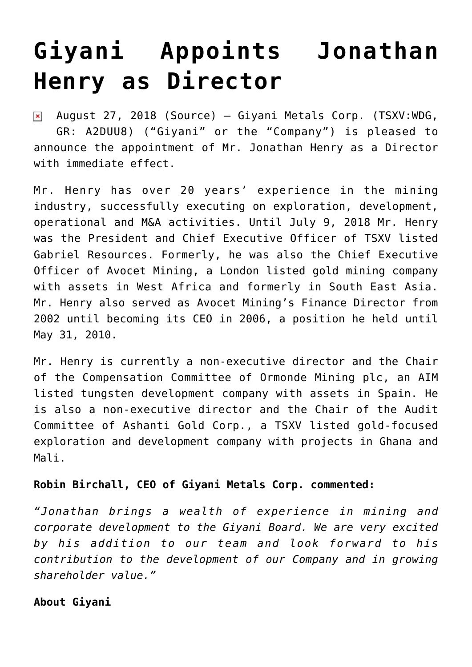## **[Giyani Appoints Jonathan](https://investorintel.com/markets/technology-metals/technology-metals-news/giyani-appoints-jonathan-henry-director/) [Henry as Director](https://investorintel.com/markets/technology-metals/technology-metals-news/giyani-appoints-jonathan-henry-director/)**

August 27, 2018 ([Source](https://investorintel.com/iintel-members/giyani-metals-corp-2/)) — Giyani Metals Corp. (TSXV:WDG,  $\pmb{\times}$ GR: A2DUU8) ("Giyani" or the "Company") is pleased to announce the appointment of Mr. Jonathan Henry as a Director with immediate effect.

Mr. Henry has over 20 years' experience in the mining industry, successfully executing on exploration, development, operational and M&A activities. Until July 9, 2018 Mr. Henry was the President and Chief Executive Officer of TSXV listed Gabriel Resources. Formerly, he was also the Chief Executive Officer of Avocet Mining, a London listed gold mining company with assets in West Africa and formerly in South East Asia. Mr. Henry also served as Avocet Mining's Finance Director from 2002 until becoming its CEO in 2006, a position he held until May 31, 2010.

Mr. Henry is currently a non-executive director and the Chair of the Compensation Committee of Ormonde Mining plc, an AIM listed tungsten development company with assets in Spain. He is also a non-executive director and the Chair of the Audit Committee of Ashanti Gold Corp., a TSXV listed gold-focused exploration and development company with projects in Ghana and Mali.

## **Robin Birchall, CEO of Giyani Metals Corp. commented:**

*"Jonathan brings a wealth of experience in mining and corporate development to the Giyani Board. We are very excited by his addition to our team and look forward to his contribution to the development of our Company and in growing shareholder value."*

## **About Giyani**